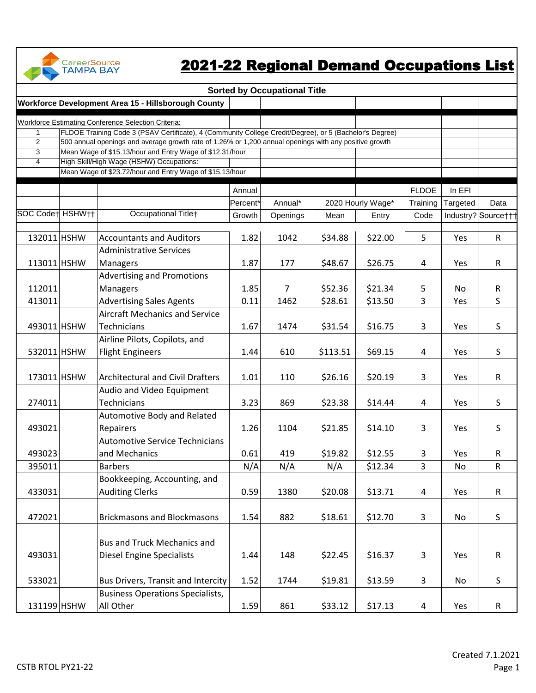

## 2021-22 Regional Demand Occupations List

|                              |                                                                                                         |          | <b>Sorted by Occupational Title</b> |          |                   |                |          |                     |
|------------------------------|---------------------------------------------------------------------------------------------------------|----------|-------------------------------------|----------|-------------------|----------------|----------|---------------------|
|                              | Workforce Development Area 15 - Hillsborough County                                                     |          |                                     |          |                   |                |          |                     |
|                              | <b>Workforce Estimating Conference Selection Criteria:</b>                                              |          |                                     |          |                   |                |          |                     |
| 1                            | FLDOE Training Code 3 (PSAV Certificate), 4 (Community College Credit/Degree), or 5 (Bachelor's Degree) |          |                                     |          |                   |                |          |                     |
| $\overline{2}$               | 500 annual openings and average growth rate of 1.26% or 1,200 annual openings with any positive growth  |          |                                     |          |                   |                |          |                     |
| 3                            | Mean Wage of \$15.13/hour and Entry Wage of \$12.31/hour                                                |          |                                     |          |                   |                |          |                     |
| $\overline{4}$               | High Skill/High Wage (HSHW) Occupations:                                                                |          |                                     |          |                   |                |          |                     |
|                              | Mean Wage of \$23.72/hour and Entry Wage of \$15.13/hour                                                |          |                                     |          |                   |                |          |                     |
|                              |                                                                                                         | Annual   |                                     |          |                   | <b>FLDOE</b>   | In EFI   |                     |
|                              |                                                                                                         | Percent* | Annual*                             |          | 2020 Hourly Wage* | Training       | Targeted | Data                |
| SOC Codet HSHW <sub>11</sub> | Occupational Titlet                                                                                     | Growth   | Openings                            | Mean     | Entry             | Code           |          | Industry? Sourcettt |
|                              |                                                                                                         |          |                                     |          |                   |                |          |                     |
| 132011 HSHW                  | <b>Accountants and Auditors</b>                                                                         | 1.82     | 1042                                | \$34.88  | \$22.00           | 5              | Yes      | $\mathsf{R}$        |
|                              | <b>Administrative Services</b>                                                                          |          |                                     |          |                   |                |          |                     |
| 113011 HSHW                  | Managers                                                                                                | 1.87     | 177                                 | \$48.67  | \$26.75           | $\overline{4}$ | Yes      | $\mathsf{R}$        |
|                              | <b>Advertising and Promotions</b>                                                                       |          |                                     |          |                   |                |          |                     |
| 112011                       | Managers                                                                                                | 1.85     | $\overline{7}$                      | \$52.36  | \$21.34           | 5              | No.      | R                   |
| 413011                       | <b>Advertising Sales Agents</b>                                                                         | 0.11     | 1462                                | \$28.61  | \$13.50           | 3              | Yes      | S                   |
|                              | <b>Aircraft Mechanics and Service</b>                                                                   |          |                                     |          |                   |                |          |                     |
| 493011 HSHW                  | <b>Technicians</b>                                                                                      | 1.67     | 1474                                | \$31.54  | \$16.75           | 3              | Yes      | S                   |
|                              | Airline Pilots, Copilots, and                                                                           |          |                                     |          |                   |                |          |                     |
| 532011 HSHW                  | <b>Flight Engineers</b>                                                                                 | 1.44     | 610                                 | \$113.51 | \$69.15           | $\overline{4}$ | Yes      | S                   |
|                              |                                                                                                         |          |                                     |          |                   |                |          |                     |
| 173011 HSHW                  | <b>Architectural and Civil Drafters</b>                                                                 | 1.01     | 110                                 | \$26.16  | \$20.19           | 3              | Yes      | $\mathsf{R}$        |
|                              | Audio and Video Equipment                                                                               |          |                                     |          |                   |                |          |                     |
| 274011                       | <b>Technicians</b>                                                                                      | 3.23     | 869                                 | \$23.38  | \$14.44           | 4              | Yes      | S                   |
|                              |                                                                                                         |          |                                     |          |                   |                |          |                     |
|                              | Automotive Body and Related                                                                             |          |                                     |          |                   |                |          |                     |
| 493021                       | Repairers                                                                                               | 1.26     | 1104                                | \$21.85  | \$14.10           | 3              | Yes      | S                   |
|                              | <b>Automotive Service Technicians</b>                                                                   |          |                                     |          |                   |                |          |                     |
| 493023                       | and Mechanics                                                                                           | 0.61     | 419                                 | \$19.82  | \$12.55           | 3              | Yes      | R                   |
| 395011                       | <b>Barbers</b>                                                                                          | N/A      | N/A                                 | N/A      | \$12.34           | 3              | No       | $\mathsf R$         |
|                              | Bookkeeping, Accounting, and                                                                            |          |                                     |          |                   |                |          |                     |
| 433031                       | <b>Auditing Clerks</b>                                                                                  | 0.59     | 1380                                | \$20.08  | \$13.71           | 4              | Yes      | ${\sf R}$           |
|                              |                                                                                                         |          |                                     |          |                   |                |          |                     |
| 472021                       | <b>Brickmasons and Blockmasons</b>                                                                      | 1.54     | 882                                 | \$18.61  | \$12.70           | 3              | No       | S                   |
|                              |                                                                                                         |          |                                     |          |                   |                |          |                     |
|                              | <b>Bus and Truck Mechanics and</b>                                                                      |          |                                     |          |                   |                |          |                     |
| 493031                       | <b>Diesel Engine Specialists</b>                                                                        | 1.44     | 148                                 | \$22.45  | \$16.37           | 3              | Yes      | ${\sf R}$           |
|                              |                                                                                                         |          |                                     |          |                   |                |          |                     |
| 533021                       | <b>Bus Drivers, Transit and Intercity</b>                                                               | 1.52     | 1744                                | \$19.81  | \$13.59           | 3              | No       | S                   |
|                              | <b>Business Operations Specialists,</b>                                                                 |          |                                     |          |                   |                |          |                     |
| 131199 HSHW                  | All Other                                                                                               | 1.59     | 861                                 | \$33.12  | \$17.13           | $\overline{4}$ | Yes      | $\mathsf R$         |
|                              |                                                                                                         |          |                                     |          |                   |                |          |                     |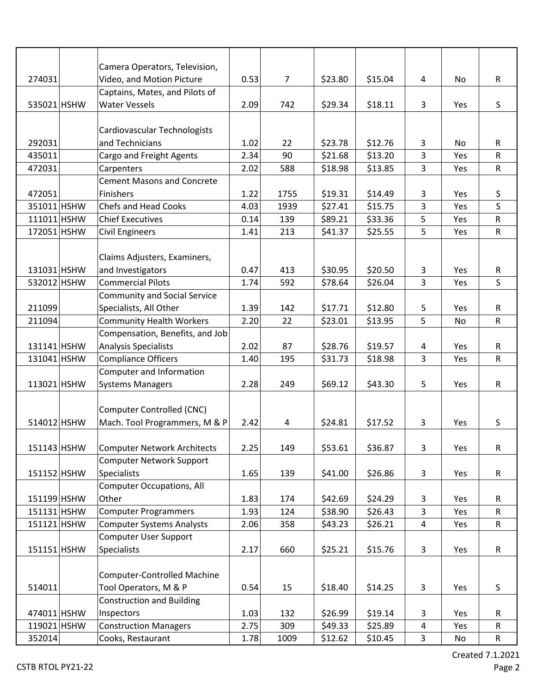|             | Camera Operators, Television,       |      |                |         |         |                |           |             |
|-------------|-------------------------------------|------|----------------|---------|---------|----------------|-----------|-------------|
| 274031      | Video, and Motion Picture           | 0.53 | $\overline{7}$ | \$23.80 | \$15.04 | 4              | No.       | R           |
|             | Captains, Mates, and Pilots of      |      |                |         |         |                |           |             |
| 535021 HSHW | <b>Water Vessels</b>                | 2.09 | 742            | \$29.34 | \$18.11 | 3              | Yes       | S           |
|             |                                     |      |                |         |         |                |           |             |
|             | Cardiovascular Technologists        |      |                |         |         |                |           |             |
| 292031      | and Technicians                     | 1.02 | 22             | \$23.78 | \$12.76 | 3              | No.       | R           |
| 435011      | Cargo and Freight Agents            | 2.34 | 90             | \$21.68 | \$13.20 | $\overline{3}$ | Yes       | R           |
| 472031      | Carpenters                          | 2.02 | 588            | \$18.98 | \$13.85 | 3              | Yes       | R           |
|             | <b>Cement Masons and Concrete</b>   |      |                |         |         |                |           |             |
| 472051      | Finishers                           | 1.22 | 1755           | \$19.31 | \$14.49 | 3              | Yes       | S           |
| 351011 HSHW | <b>Chefs and Head Cooks</b>         | 4.03 | 1939           | \$27.41 | \$15.75 | 3              | Yes       | S           |
| 111011 HSHW | <b>Chief Executives</b>             | 0.14 | 139            | \$89.21 | \$33.36 | 5              | Yes       | R           |
| 172051 HSHW | <b>Civil Engineers</b>              | 1.41 | 213            | \$41.37 | \$25.55 | 5              | Yes       | $\mathsf R$ |
|             |                                     |      |                |         |         |                |           |             |
|             | Claims Adjusters, Examiners,        |      |                |         |         |                |           |             |
| 131031 HSHW | and Investigators                   | 0.47 | 413            | \$30.95 | \$20.50 | 3              | Yes       | R           |
| 532012 HSHW | <b>Commercial Pilots</b>            | 1.74 | 592            | \$78.64 | \$26.04 | $\overline{3}$ | Yes       | S           |
|             | <b>Community and Social Service</b> |      |                |         |         |                |           |             |
| 211099      | Specialists, All Other              | 1.39 | 142            | \$17.71 | \$12.80 | 5              | Yes       | R           |
| 211094      | <b>Community Health Workers</b>     | 2.20 | 22             | \$23.01 | \$13.95 | 5              | <b>No</b> | R           |
|             | Compensation, Benefits, and Job     |      |                |         |         |                |           |             |
| 131141 HSHW | <b>Analysis Specialists</b>         | 2.02 | 87             | \$28.76 | \$19.57 | 4              | Yes       | R           |
| 131041 HSHW | <b>Compliance Officers</b>          | 1.40 | 195            | \$31.73 | \$18.98 | 3              | Yes       | R           |
|             | Computer and Information            |      |                |         |         |                |           |             |
| 113021 HSHW | <b>Systems Managers</b>             | 2.28 | 249            | \$69.12 | \$43.30 | 5              | Yes       | R           |
|             |                                     |      |                |         |         |                |           |             |
|             | Computer Controlled (CNC)           |      |                |         |         |                |           |             |
| 514012 HSHW | Mach. Tool Programmers, M & P       | 2.42 | 4              | \$24.81 | \$17.52 | 3              | Yes       | S           |
|             |                                     |      |                |         |         |                |           |             |
| 151143 HSHW | <b>Computer Network Architects</b>  | 2.25 | 149            | \$53.61 | \$36.87 | 3              | Yes       | R           |
|             | <b>Computer Network Support</b>     |      |                |         |         |                |           |             |
| 151152 HSHW | <b>Specialists</b>                  | 1.65 | 139            | \$41.00 | \$26.86 | 3              | Yes       | R           |
|             | Computer Occupations, All           |      |                |         |         |                |           |             |
| 151199 HSHW | Other                               | 1.83 | 174            | \$42.69 | \$24.29 | 3              | Yes       | R           |
| 151131 HSHW | <b>Computer Programmers</b>         | 1.93 | 124            | \$38.90 | \$26.43 | 3              | Yes       | R           |
| 151121 HSHW | <b>Computer Systems Analysts</b>    | 2.06 | 358            | \$43.23 | \$26.21 | $\overline{4}$ | Yes       | R           |
|             | <b>Computer User Support</b>        |      |                |         |         |                |           |             |
| 151151 HSHW | Specialists                         | 2.17 | 660            | \$25.21 | \$15.76 | $\mathsf{3}$   | Yes       | R           |
|             |                                     |      |                |         |         |                |           |             |
|             | Computer-Controlled Machine         |      |                |         |         |                |           |             |
| 514011      | Tool Operators, M & P               | 0.54 | 15             | \$18.40 | \$14.25 | 3              | Yes       | S           |
|             | <b>Construction and Building</b>    |      |                |         |         |                |           |             |
| 474011 HSHW | Inspectors                          | 1.03 | 132            | \$26.99 | \$19.14 | 3              | Yes       | R           |
| 119021 HSHW | <b>Construction Managers</b>        | 2.75 | 309            | \$49.33 | \$25.89 | 4              | Yes       | R           |
| 352014      | Cooks, Restaurant                   | 1.78 | 1009           | \$12.62 | \$10.45 | $\mathbf{3}$   | No        | ${\sf R}$   |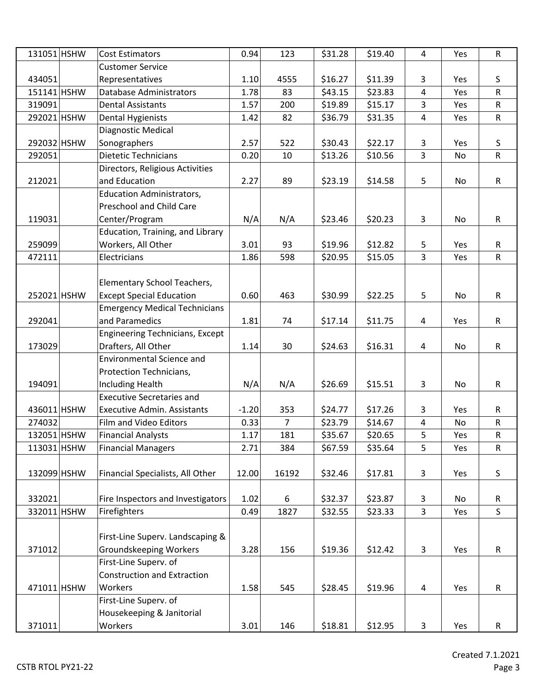| 131051 HSHW | <b>Cost Estimators</b>                 | 0.94    | 123            | \$31.28 | \$19.40 | $\overline{4}$ | Yes | ${\sf R}$    |
|-------------|----------------------------------------|---------|----------------|---------|---------|----------------|-----|--------------|
|             | <b>Customer Service</b>                |         |                |         |         |                |     |              |
| 434051      | Representatives                        | 1.10    | 4555           | \$16.27 | \$11.39 | 3              | Yes | S            |
| 151141 HSHW | <b>Database Administrators</b>         | 1.78    | 83             | \$43.15 | \$23.83 | $\overline{4}$ | Yes | $\mathsf R$  |
| 319091      | <b>Dental Assistants</b>               | 1.57    | 200            | \$19.89 | \$15.17 | 3              | Yes | $\mathsf R$  |
| 292021 HSHW | <b>Dental Hygienists</b>               | 1.42    | 82             | \$36.79 | \$31.35 | 4              | Yes | $\mathsf{R}$ |
|             | Diagnostic Medical                     |         |                |         |         |                |     |              |
| 292032 HSHW | Sonographers                           | 2.57    | 522            | \$30.43 | \$22.17 | 3              | Yes | S            |
| 292051      | <b>Dietetic Technicians</b>            | 0.20    | 10             | \$13.26 | \$10.56 | $\overline{3}$ | No  | $\mathsf R$  |
|             | Directors, Religious Activities        |         |                |         |         |                |     |              |
| 212021      | and Education                          | 2.27    | 89             | \$23.19 | \$14.58 | 5              | No  | ${\sf R}$    |
|             | <b>Education Administrators,</b>       |         |                |         |         |                |     |              |
|             | Preschool and Child Care               |         |                |         |         |                |     |              |
| 119031      | Center/Program                         | N/A     | N/A            | \$23.46 | \$20.23 | 3              | No  | $\mathsf R$  |
|             | Education, Training, and Library       |         |                |         |         |                |     |              |
| 259099      | Workers, All Other                     | 3.01    | 93             | \$19.96 | \$12.82 | 5              | Yes | $\mathsf{R}$ |
| 472111      | Electricians                           | 1.86    | 598            | \$20.95 | \$15.05 | 3              | Yes | $\mathsf R$  |
|             |                                        |         |                |         |         |                |     |              |
|             | Elementary School Teachers,            |         |                |         |         |                |     |              |
| 252021 HSHW | <b>Except Special Education</b>        | 0.60    | 463            | \$30.99 | \$22.25 | 5              | No  | $\mathsf R$  |
|             | <b>Emergency Medical Technicians</b>   |         |                |         |         |                |     |              |
| 292041      | and Paramedics                         | 1.81    | 74             | \$17.14 | \$11.75 | 4              | Yes | R            |
|             | <b>Engineering Technicians, Except</b> |         |                |         |         |                |     |              |
| 173029      | Drafters, All Other                    | 1.14    | 30             | \$24.63 | \$16.31 | $\overline{a}$ | No  | R            |
|             | <b>Environmental Science and</b>       |         |                |         |         |                |     |              |
|             | Protection Technicians,                |         |                |         |         |                |     |              |
| 194091      | <b>Including Health</b>                | N/A     | N/A            | \$26.69 | \$15.51 | 3              | No  | $\mathsf R$  |
|             | <b>Executive Secretaries and</b>       |         |                |         |         |                |     |              |
| 436011 HSHW | <b>Executive Admin. Assistants</b>     | $-1.20$ | 353            | \$24.77 | \$17.26 | 3              | Yes | R            |
| 274032      | Film and Video Editors                 | 0.33    | $\overline{7}$ | \$23.79 | \$14.67 | 4              | No  | ${\sf R}$    |
| 132051 HSHW | <b>Financial Analysts</b>              | 1.17    | 181            | \$35.67 | \$20.65 | 5              | Yes | ${\sf R}$    |
| 113031 HSHW | <b>Financial Managers</b>              | 2.71    | 384            | \$67.59 | \$35.64 | 5              | Yes | ${\sf R}$    |
|             |                                        |         |                |         |         |                |     |              |
| 132099 HSHW | Financial Specialists, All Other       | 12.00   | 16192          | \$32.46 | \$17.81 | 3              | Yes | S            |
|             |                                        |         |                |         |         |                |     |              |
| 332021      | Fire Inspectors and Investigators      | 1.02    | 6              | \$32.37 | \$23.87 | 3              | No  | R            |
| 332011 HSHW | Firefighters                           | 0.49    | 1827           | \$32.55 | \$23.33 | 3              | Yes | $\mathsf S$  |
|             |                                        |         |                |         |         |                |     |              |
|             | First-Line Superv. Landscaping &       |         |                |         |         |                |     |              |
| 371012      | <b>Groundskeeping Workers</b>          | 3.28    | 156            | \$19.36 | \$12.42 | 3              | Yes | ${\sf R}$    |
|             | First-Line Superv. of                  |         |                |         |         |                |     |              |
|             | <b>Construction and Extraction</b>     |         |                |         |         |                |     |              |
| 471011 HSHW | Workers                                | 1.58    | 545            | \$28.45 | \$19.96 | 4              | Yes | R            |
|             | First-Line Superv. of                  |         |                |         |         |                |     |              |
|             | Housekeeping & Janitorial              |         |                |         |         |                |     |              |
| 371011      | Workers                                | 3.01    | 146            | \$18.81 | \$12.95 | 3              | Yes | $\mathsf{R}$ |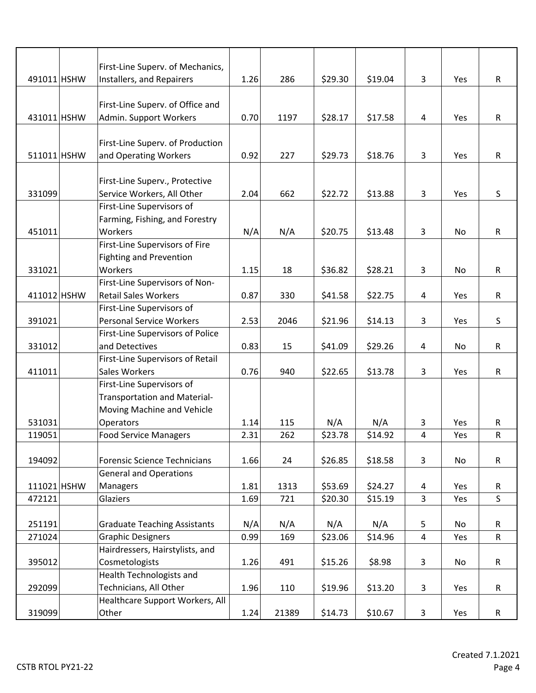|             | First-Line Superv. of Mechanics,    |      |       |         |         |                |     |              |
|-------------|-------------------------------------|------|-------|---------|---------|----------------|-----|--------------|
| 491011 HSHW | Installers, and Repairers           | 1.26 | 286   | \$29.30 | \$19.04 | 3              | Yes | R            |
|             |                                     |      |       |         |         |                |     |              |
|             | First-Line Superv. of Office and    |      |       |         |         |                |     |              |
| 431011 HSHW | Admin. Support Workers              | 0.70 | 1197  | \$28.17 | \$17.58 | 4              | Yes | $\mathsf{R}$ |
|             |                                     |      |       |         |         |                |     |              |
|             |                                     |      |       |         |         |                |     |              |
|             | First-Line Superv. of Production    |      |       |         |         |                |     |              |
| 511011 HSHW | and Operating Workers               | 0.92 | 227   | \$29.73 | \$18.76 | 3              | Yes | $\mathsf{R}$ |
|             |                                     |      |       |         |         |                |     |              |
|             | First-Line Superv., Protective      |      |       |         |         |                |     |              |
| 331099      | Service Workers, All Other          | 2.04 | 662   | \$22.72 | \$13.88 | 3              | Yes | $\mathsf S$  |
|             | First-Line Supervisors of           |      |       |         |         |                |     |              |
|             | Farming, Fishing, and Forestry      |      |       |         |         |                |     |              |
| 451011      | Workers                             | N/A  | N/A   | \$20.75 | \$13.48 | 3              | No  | R            |
|             | First-Line Supervisors of Fire      |      |       |         |         |                |     |              |
|             | <b>Fighting and Prevention</b>      |      |       |         |         |                |     |              |
| 331021      | Workers                             | 1.15 | 18    | \$36.82 | \$28.21 | 3              | No  | R            |
|             | First-Line Supervisors of Non-      |      |       |         |         |                |     |              |
| 411012 HSHW | <b>Retail Sales Workers</b>         | 0.87 | 330   | \$41.58 | \$22.75 | 4              | Yes | $\mathsf{R}$ |
|             | First-Line Supervisors of           |      |       |         |         |                |     |              |
| 391021      | <b>Personal Service Workers</b>     | 2.53 | 2046  | \$21.96 | \$14.13 | 3              | Yes | S            |
|             | First-Line Supervisors of Police    |      |       |         |         |                |     |              |
| 331012      | and Detectives                      | 0.83 | 15    | \$41.09 | \$29.26 | 4              | No  | R            |
|             | First-Line Supervisors of Retail    |      |       |         |         |                |     |              |
| 411011      | Sales Workers                       | 0.76 | 940   | \$22.65 | \$13.78 | 3              | Yes | $\mathsf{R}$ |
|             | First-Line Supervisors of           |      |       |         |         |                |     |              |
|             | <b>Transportation and Material-</b> |      |       |         |         |                |     |              |
|             | Moving Machine and Vehicle          |      |       |         |         |                |     |              |
| 531031      | Operators                           | 1.14 | 115   | N/A     | N/A     | 3              | Yes | R            |
| 119051      | <b>Food Service Managers</b>        | 2.31 | 262   | \$23.78 | \$14.92 | 4              | Yes | ${\sf R}$    |
|             |                                     |      |       |         |         |                |     |              |
| 194092      | <b>Forensic Science Technicians</b> | 1.66 | 24    | \$26.85 | \$18.58 | $\mathbf{3}$   | No  | $\mathsf{R}$ |
|             | <b>General and Operations</b>       |      |       |         |         |                |     |              |
| 111021 HSHW | Managers                            | 1.81 | 1313  | \$53.69 | \$24.27 | 4              | Yes | $\mathsf{R}$ |
| 472121      | Glaziers                            | 1.69 | 721   | \$20.30 | \$15.19 | $\overline{3}$ | Yes | $\mathsf{S}$ |
|             |                                     |      |       |         |         |                |     |              |
| 251191      | <b>Graduate Teaching Assistants</b> | N/A  | N/A   | N/A     | N/A     | 5              | No  | $\mathsf{R}$ |
| 271024      | <b>Graphic Designers</b>            | 0.99 | 169   | \$23.06 | \$14.96 | $\overline{4}$ | Yes | $\mathsf{R}$ |
|             | Hairdressers, Hairstylists, and     |      |       |         |         |                |     |              |
| 395012      | Cosmetologists                      | 1.26 | 491   | \$15.26 | \$8.98  | $\mathbf{3}$   | No  | $\mathsf{R}$ |
|             | Health Technologists and            |      |       |         |         |                |     |              |
| 292099      | Technicians, All Other              | 1.96 | 110   | \$19.96 | \$13.20 | 3              | Yes | $\mathsf{R}$ |
|             | Healthcare Support Workers, All     |      |       |         |         |                |     |              |
| 319099      | Other                               | 1.24 | 21389 | \$14.73 | \$10.67 | $\mathbf{3}$   | Yes | $\mathsf R$  |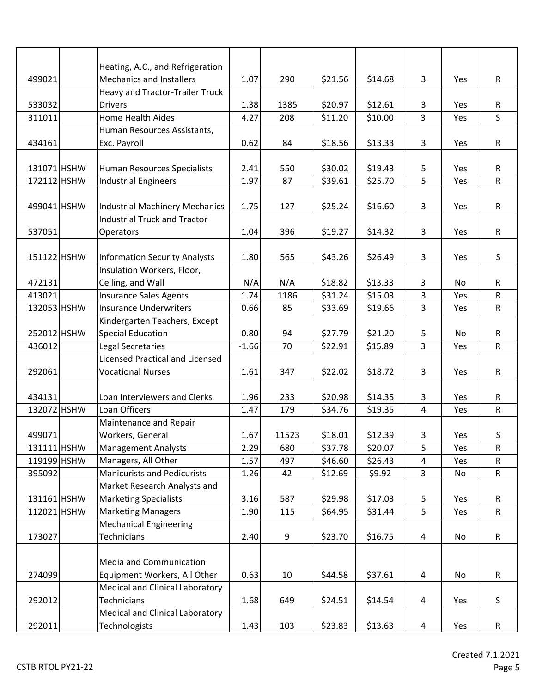|             | Heating, A.C., and Refrigeration       |         |       |         |         |                |           |              |
|-------------|----------------------------------------|---------|-------|---------|---------|----------------|-----------|--------------|
| 499021      | <b>Mechanics and Installers</b>        | 1.07    | 290   | \$21.56 | \$14.68 | 3              | Yes       | R            |
|             | Heavy and Tractor-Trailer Truck        |         |       |         |         |                |           |              |
| 533032      | <b>Drivers</b>                         | 1.38    | 1385  | \$20.97 | \$12.61 | 3              | Yes       | R            |
| 311011      | <b>Home Health Aides</b>               | 4.27    | 208   | \$11.20 | \$10.00 | 3              | Yes       | S            |
|             | Human Resources Assistants,            |         |       |         |         |                |           |              |
| 434161      | Exc. Payroll                           | 0.62    | 84    | \$18.56 | \$13.33 | 3              | Yes       | $\mathsf{R}$ |
|             |                                        |         |       |         |         |                |           |              |
| 131071 HSHW | Human Resources Specialists            | 2.41    | 550   | \$30.02 | \$19.43 | 5              | Yes       | R            |
| 172112 HSHW | <b>Industrial Engineers</b>            | 1.97    | 87    | \$39.61 | \$25.70 | 5              | Yes       | $\mathsf R$  |
|             |                                        |         |       |         |         |                |           |              |
| 499041 HSHW | <b>Industrial Machinery Mechanics</b>  | 1.75    | 127   | \$25.24 | \$16.60 | 3              | Yes       | $\mathsf R$  |
|             | <b>Industrial Truck and Tractor</b>    |         |       |         |         |                |           |              |
| 537051      | Operators                              | 1.04    | 396   | \$19.27 | \$14.32 | 3              | Yes       | R            |
|             |                                        |         |       |         |         |                |           |              |
| 151122 HSHW | <b>Information Security Analysts</b>   | 1.80    | 565   | \$43.26 | \$26.49 | 3              | Yes       | S            |
|             | Insulation Workers, Floor,             |         |       |         |         |                |           |              |
| 472131      | Ceiling, and Wall                      | N/A     | N/A   | \$18.82 | \$13.33 | 3              | No        | R            |
| 413021      | <b>Insurance Sales Agents</b>          | 1.74    | 1186  | \$31.24 | \$15.03 | 3              | Yes       | $\mathsf{R}$ |
| 132053 HSHW | <b>Insurance Underwriters</b>          | 0.66    | 85    | \$33.69 | \$19.66 | 3              | Yes       | ${\sf R}$    |
|             | Kindergarten Teachers, Except          |         |       |         |         |                |           |              |
| 252012 HSHW | <b>Special Education</b>               | 0.80    | 94    | \$27.79 | \$21.20 | 5              | <b>No</b> | $\mathsf{R}$ |
| 436012      | Legal Secretaries                      | $-1.66$ | 70    | \$22.91 | \$15.89 | 3              | Yes       | ${\sf R}$    |
|             | <b>Licensed Practical and Licensed</b> |         |       |         |         |                |           |              |
| 292061      | <b>Vocational Nurses</b>               | 1.61    | 347   | \$22.02 | \$18.72 | 3              | Yes       | $\mathsf{R}$ |
|             |                                        |         |       |         |         |                |           |              |
| 434131      | Loan Interviewers and Clerks           | 1.96    | 233   | \$20.98 | \$14.35 | 3              | Yes       | $\mathsf{R}$ |
| 132072 HSHW | Loan Officers                          | 1.47    | 179   | \$34.76 | \$19.35 | $\overline{4}$ | Yes       | $\mathsf R$  |
|             | Maintenance and Repair                 |         |       |         |         |                |           |              |
| 499071      | Workers, General                       | 1.67    | 11523 | \$18.01 | \$12.39 | 3              | Yes       | S            |
| 131111 HSHW | <b>Management Analysts</b>             | 2.29    | 680   | \$37.78 | \$20.07 | 5              | Yes       | $\mathsf R$  |
| 119199 HSHW | Managers, All Other                    | 1.57    | 497   | \$46.60 | \$26.43 | 4              | Yes       | R            |
| 395092      | <b>Manicurists and Pedicurists</b>     | 1.26    | 42    | \$12.69 | \$9.92  | $\mathbf{3}$   | No        | R            |
|             | Market Research Analysts and           |         |       |         |         |                |           |              |
| 131161 HSHW | <b>Marketing Specialists</b>           | 3.16    | 587   | \$29.98 | \$17.03 | 5              | Yes       | R            |
| 112021 HSHW | <b>Marketing Managers</b>              | 1.90    | 115   | \$64.95 | \$31.44 | 5              | Yes       | ${\sf R}$    |
|             | <b>Mechanical Engineering</b>          |         |       |         |         |                |           |              |
| 173027      | Technicians                            | 2.40    | 9     | \$23.70 | \$16.75 | 4              | No        | R            |
|             |                                        |         |       |         |         |                |           |              |
|             | Media and Communication                |         |       |         |         |                |           |              |
| 274099      | Equipment Workers, All Other           | 0.63    | 10    | \$44.58 | \$37.61 | 4              | No        | R            |
|             | Medical and Clinical Laboratory        |         |       |         |         |                |           |              |
| 292012      | Technicians                            | 1.68    | 649   | \$24.51 | \$14.54 | 4              | Yes       | S            |
|             | Medical and Clinical Laboratory        |         |       |         |         |                |           |              |
| 292011      | Technologists                          | 1.43    | 103   | \$23.83 | \$13.63 | 4              | Yes       | R            |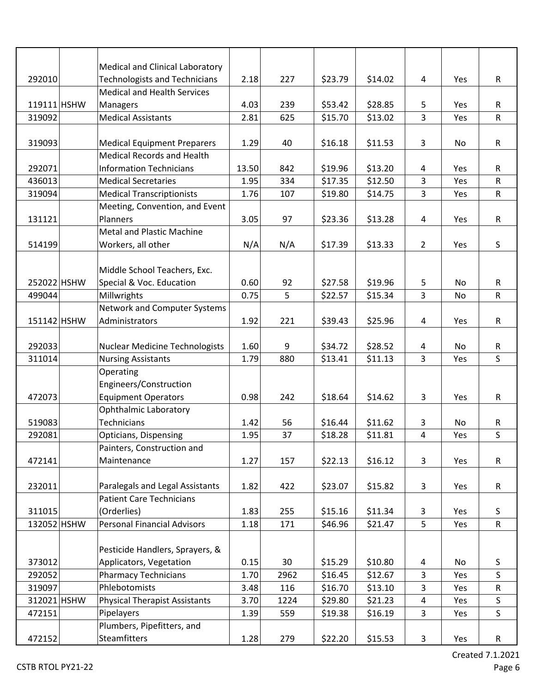|             | Medical and Clinical Laboratory       |       |      |         |         |                |           |              |
|-------------|---------------------------------------|-------|------|---------|---------|----------------|-----------|--------------|
| 292010      | <b>Technologists and Technicians</b>  | 2.18  | 227  | \$23.79 | \$14.02 | 4              | Yes       | R            |
|             | <b>Medical and Health Services</b>    |       |      |         |         |                |           |              |
| 119111 HSHW | Managers                              | 4.03  | 239  | \$53.42 | \$28.85 | 5              | Yes       | $\mathsf{R}$ |
| 319092      | <b>Medical Assistants</b>             | 2.81  | 625  | \$15.70 | \$13.02 | $\mathsf{3}$   | Yes       | ${\sf R}$    |
|             |                                       |       |      |         |         |                |           |              |
| 319093      | <b>Medical Equipment Preparers</b>    | 1.29  | 40   | \$16.18 | \$11.53 | 3              | No        | $\mathsf{R}$ |
|             | <b>Medical Records and Health</b>     |       |      |         |         |                |           |              |
| 292071      | <b>Information Technicians</b>        | 13.50 | 842  | \$19.96 | \$13.20 | 4              | Yes       | R            |
| 436013      | <b>Medical Secretaries</b>            | 1.95  | 334  | \$17.35 | \$12.50 | 3              | Yes       | R            |
| 319094      | <b>Medical Transcriptionists</b>      | 1.76  | 107  | \$19.80 | \$14.75 | 3              | Yes       | R            |
|             | Meeting, Convention, and Event        |       |      |         |         |                |           |              |
| 131121      | Planners                              | 3.05  | 97   | \$23.36 | \$13.28 | $\overline{4}$ | Yes       | R            |
|             | <b>Metal and Plastic Machine</b>      |       |      |         |         |                |           |              |
| 514199      | Workers, all other                    | N/A   | N/A  | \$17.39 | \$13.33 | $\overline{2}$ | Yes       | S            |
|             |                                       |       |      |         |         |                |           |              |
|             | Middle School Teachers, Exc.          |       |      |         |         |                |           |              |
| 252022 HSHW | Special & Voc. Education              | 0.60  | 92   | \$27.58 | \$19.96 | 5              | <b>No</b> | $\mathsf{R}$ |
| 499044      | Millwrights                           | 0.75  | 5    | \$22.57 | \$15.34 | 3              | No        | ${\sf R}$    |
|             | Network and Computer Systems          |       |      |         |         |                |           |              |
| 151142 HSHW | Administrators                        | 1.92  | 221  | \$39.43 | \$25.96 | 4              | Yes       | R            |
|             |                                       |       |      |         |         |                |           |              |
| 292033      | <b>Nuclear Medicine Technologists</b> | 1.60  | 9    | \$34.72 | \$28.52 | 4              | No        | R            |
| 311014      | <b>Nursing Assistants</b>             | 1.79  | 880  | \$13.41 | \$11.13 | $\overline{3}$ | Yes       | S            |
|             | Operating                             |       |      |         |         |                |           |              |
|             | Engineers/Construction                |       |      |         |         |                |           |              |
| 472073      | <b>Equipment Operators</b>            | 0.98  | 242  | \$18.64 | \$14.62 | $\overline{3}$ | Yes       | ${\sf R}$    |
|             | <b>Ophthalmic Laboratory</b>          |       |      |         |         |                |           |              |
| 519083      | Technicians                           | 1.42  | 56   | \$16.44 | \$11.62 | 3              | No        | R            |
| 292081      | <b>Opticians, Dispensing</b>          | 1.95  | 37   | \$18.28 | \$11.81 | $\overline{4}$ | Yes       | S            |
|             | Painters, Construction and            |       |      |         |         |                |           |              |
| 472141      | Maintenance                           | 1.27  | 157  | \$22.13 | \$16.12 | 3              | Yes       | R            |
|             |                                       |       |      |         |         |                |           |              |
| 232011      | Paralegals and Legal Assistants       | 1.82  | 422  | \$23.07 | \$15.82 | $\mathbf{3}$   | Yes       | $\mathsf R$  |
|             | <b>Patient Care Technicians</b>       |       |      |         |         |                |           |              |
| 311015      | (Orderlies)                           | 1.83  | 255  | \$15.16 | \$11.34 | 3              | Yes       | S            |
| 132052 HSHW | <b>Personal Financial Advisors</b>    | 1.18  | 171  | \$46.96 | \$21.47 | 5              | Yes       | ${\sf R}$    |
|             |                                       |       |      |         |         |                |           |              |
|             | Pesticide Handlers, Sprayers, &       |       |      |         |         |                |           |              |
| 373012      | Applicators, Vegetation               | 0.15  | 30   | \$15.29 | \$10.80 | 4              | No        | S            |
| 292052      | <b>Pharmacy Technicians</b>           | 1.70  | 2962 | \$16.45 | \$12.67 | $\overline{3}$ | Yes       | $\mathsf{S}$ |
| 319097      | Phlebotomists                         | 3.48  | 116  | \$16.70 | \$13.10 | 3              | Yes       | ${\sf R}$    |
| 312021 HSHW | <b>Physical Therapist Assistants</b>  | 3.70  | 1224 | \$29.80 | \$21.23 | $\overline{4}$ | Yes       | $\sf S$      |
| 472151      | Pipelayers                            | 1.39  | 559  | \$19.38 | \$16.19 | $\overline{3}$ | Yes       | $\mathsf S$  |
|             | Plumbers, Pipefitters, and            |       |      |         |         |                |           |              |
| 472152      | <b>Steamfitters</b>                   | 1.28  | 279  | \$22.20 | \$15.53 | 3              | Yes       | R            |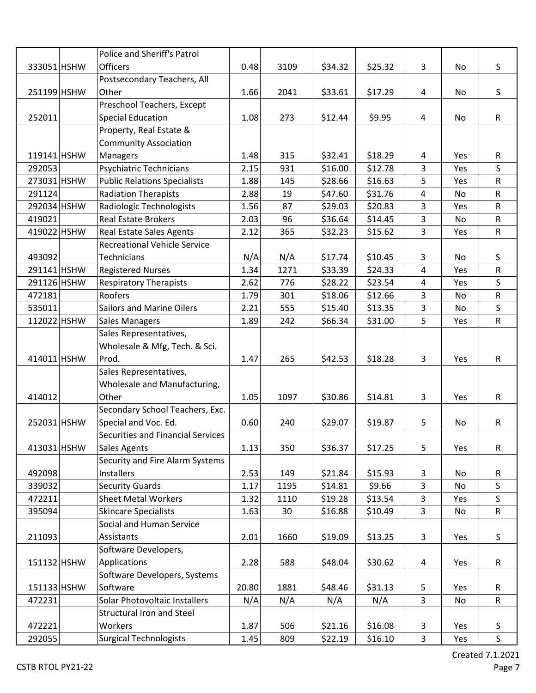|             | Police and Sheriff's Patrol         |       |      |         |         |                |     |              |
|-------------|-------------------------------------|-------|------|---------|---------|----------------|-----|--------------|
| 333051 HSHW | <b>Officers</b>                     | 0.48  | 3109 | \$34.32 | \$25.32 | 3              | No  | S            |
|             | Postsecondary Teachers, All         |       |      |         |         |                |     |              |
| 251199 HSHW | Other                               | 1.66  | 2041 | \$33.61 | \$17.29 | 4              | No  | S            |
|             | Preschool Teachers, Except          |       |      |         |         |                |     |              |
| 252011      | <b>Special Education</b>            | 1.08  | 273  | \$12.44 | \$9.95  | 4              | No  | $\mathsf{R}$ |
|             | Property, Real Estate &             |       |      |         |         |                |     |              |
|             | <b>Community Association</b>        |       |      |         |         |                |     |              |
| 119141 HSHW | Managers                            | 1.48  | 315  | \$32.41 | \$18.29 | 4              | Yes | R            |
| 292053      | Psychiatric Technicians             | 2.15  | 931  | \$16.00 | \$12.78 | 3              | Yes | S            |
| 273031 HSHW | <b>Public Relations Specialists</b> | 1.88  | 145  | \$28.66 | \$16.63 | 5              | Yes | $\mathsf R$  |
| 291124      | <b>Radiation Therapists</b>         | 2.88  | 19   | \$47.60 | \$31.76 | 4              | No  | R            |
| 292034 HSHW | Radiologic Technologists            | 1.56  | 87   | \$29.03 | \$20.83 | 3              | Yes | ${\sf R}$    |
| 419021      | <b>Real Estate Brokers</b>          | 2.03  | 96   | \$36.64 | \$14.45 | 3              | No  | R            |
| 419022 HSHW | <b>Real Estate Sales Agents</b>     | 2.12  | 365  | \$32.23 | \$15.62 | 3              | Yes | R            |
|             | <b>Recreational Vehicle Service</b> |       |      |         |         |                |     |              |
| 493092      | Technicians                         | N/A   | N/A  | \$17.74 | \$10.45 | $\mathbf{3}$   | No  | S            |
| 291141 HSHW | <b>Registered Nurses</b>            | 1.34  | 1271 | \$33.39 | \$24.33 | $\overline{4}$ | Yes | R            |
| 291126 HSHW | <b>Respiratory Therapists</b>       | 2.62  | 776  | \$28.22 | \$23.54 | $\overline{4}$ | Yes | $\mathsf S$  |
| 472181      | Roofers                             | 1.79  | 301  | \$18.06 | \$12.66 | 3              | No  | R            |
| 535011      | <b>Sailors and Marine Oilers</b>    | 2.21  | 555  | \$15.40 | \$13.35 | 3              | No  | S            |
| 112022 HSHW | <b>Sales Managers</b>               | 1.89  | 242  | \$66.34 | \$31.00 | 5              | Yes | R            |
|             | Sales Representatives,              |       |      |         |         |                |     |              |
|             | Wholesale & Mfg, Tech. & Sci.       |       |      |         |         |                |     |              |
| 414011 HSHW | Prod.                               | 1.47  | 265  | \$42.53 | \$18.28 | 3              | Yes | R            |
|             | Sales Representatives,              |       |      |         |         |                |     |              |
|             | Wholesale and Manufacturing,        |       |      |         |         |                |     |              |
| 414012      | Other                               | 1.05  | 1097 | \$30.86 | \$14.81 | 3              | Yes | R            |
|             | Secondary School Teachers, Exc.     |       |      |         |         |                |     |              |
| 252031 HSHW | Special and Voc. Ed.                | 0.60  | 240  | \$29.07 | \$19.87 | 5              | No  | $\mathsf R$  |
|             | Securities and Financial Services   |       |      |         |         |                |     |              |
| 413031 HSHW | <b>Sales Agents</b>                 | 1.13  | 350  | \$36.37 | \$17.25 | 5              | Yes | R            |
|             | Security and Fire Alarm Systems     |       |      |         |         |                |     |              |
| 492098      | <b>Installers</b>                   | 2.53  | 149  | \$21.84 | \$15.93 | 3              | No  | R            |
| 339032      | <b>Security Guards</b>              | 1.17  | 1195 | \$14.81 | \$9.66  | $\overline{3}$ | No  | S            |
| 472211      | <b>Sheet Metal Workers</b>          | 1.32  | 1110 | \$19.28 | \$13.54 | 3              | Yes | S            |
| 395094      | <b>Skincare Specialists</b>         | 1.63  | 30   | \$16.88 | \$10.49 | 3              | No  | R            |
|             | Social and Human Service            |       |      |         |         |                |     |              |
| 211093      | Assistants                          | 2.01  | 1660 | \$19.09 | \$13.25 | 3              | Yes | S            |
|             | Software Developers,                |       |      |         |         |                |     |              |
| 151132 HSHW | Applications                        | 2.28  | 588  | \$48.04 | \$30.62 | 4              | Yes | R            |
|             | Software Developers, Systems        |       |      |         |         |                |     |              |
| 151133 HSHW | Software                            | 20.80 | 1881 | \$48.46 | \$31.13 | 5              | Yes | R            |
| 472231      | Solar Photovoltaic Installers       | N/A   | N/A  | N/A     | N/A     | $\overline{3}$ | No  | R            |
|             | Structural Iron and Steel           |       |      |         |         |                |     |              |
| 472221      | Workers                             | 1.87  | 506  | \$21.16 | \$16.08 | 3              | Yes | S            |
| 292055      | <b>Surgical Technologists</b>       | 1.45  | 809  | \$22.19 | \$16.10 | 3              | Yes | $\sf S$      |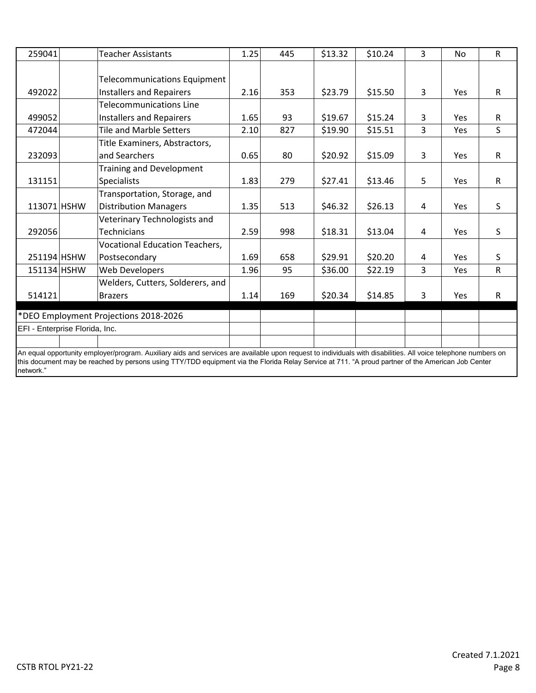| 259041                         |                                                                                                                                                                                                                                                                                                                     | <b>Teacher Assistants</b>             | 1.25 | 445 | \$13.32 | \$10.24 | 3              | <b>No</b>  | $\mathsf{R}$ |
|--------------------------------|---------------------------------------------------------------------------------------------------------------------------------------------------------------------------------------------------------------------------------------------------------------------------------------------------------------------|---------------------------------------|------|-----|---------|---------|----------------|------------|--------------|
|                                |                                                                                                                                                                                                                                                                                                                     |                                       |      |     |         |         |                |            |              |
|                                |                                                                                                                                                                                                                                                                                                                     | <b>Telecommunications Equipment</b>   |      |     |         |         |                |            |              |
| 492022                         |                                                                                                                                                                                                                                                                                                                     | <b>Installers and Repairers</b>       | 2.16 | 353 | \$23.79 | \$15.50 | 3              | <b>Yes</b> | R.           |
|                                |                                                                                                                                                                                                                                                                                                                     | <b>Telecommunications Line</b>        |      |     |         |         |                |            |              |
| 499052                         |                                                                                                                                                                                                                                                                                                                     | <b>Installers and Repairers</b>       | 1.65 | 93  | \$19.67 | \$15.24 | 3              | Yes        | $\mathsf{R}$ |
| 472044                         |                                                                                                                                                                                                                                                                                                                     | <b>Tile and Marble Setters</b>        | 2.10 | 827 | \$19.90 | \$15.51 | $\overline{3}$ | Yes        | S            |
|                                |                                                                                                                                                                                                                                                                                                                     | Title Examiners, Abstractors,         |      |     |         |         |                |            |              |
| 232093                         |                                                                                                                                                                                                                                                                                                                     | and Searchers                         | 0.65 | 80  | \$20.92 | \$15.09 | 3              | Yes        | $\mathsf{R}$ |
|                                |                                                                                                                                                                                                                                                                                                                     | <b>Training and Development</b>       |      |     |         |         |                |            |              |
| 131151                         |                                                                                                                                                                                                                                                                                                                     | <b>Specialists</b>                    | 1.83 | 279 | \$27.41 | \$13.46 | 5              | Yes        | $\mathsf{R}$ |
|                                |                                                                                                                                                                                                                                                                                                                     | Transportation, Storage, and          |      |     |         |         |                |            |              |
| 113071 HSHW                    |                                                                                                                                                                                                                                                                                                                     | <b>Distribution Managers</b>          | 1.35 | 513 | \$46.32 | \$26.13 | 4              | Yes        | S            |
|                                |                                                                                                                                                                                                                                                                                                                     | Veterinary Technologists and          |      |     |         |         |                |            |              |
| 292056                         |                                                                                                                                                                                                                                                                                                                     | <b>Technicians</b>                    | 2.59 | 998 | \$18.31 | \$13.04 | 4              | Yes        | S            |
|                                |                                                                                                                                                                                                                                                                                                                     | <b>Vocational Education Teachers,</b> |      |     |         |         |                |            |              |
| 251194 HSHW                    |                                                                                                                                                                                                                                                                                                                     | Postsecondary                         | 1.69 | 658 | \$29.91 | \$20.20 | 4              | <b>Yes</b> | S            |
| 151134 HSHW                    |                                                                                                                                                                                                                                                                                                                     | <b>Web Developers</b>                 | 1.96 | 95  | \$36.00 | \$22.19 | 3              | Yes        | $\mathsf{R}$ |
|                                |                                                                                                                                                                                                                                                                                                                     | Welders, Cutters, Solderers, and      |      |     |         |         |                |            |              |
| 514121                         |                                                                                                                                                                                                                                                                                                                     | <b>Brazers</b>                        | 1.14 | 169 | \$20.34 | \$14.85 | 3              | Yes        | $\mathsf{R}$ |
|                                |                                                                                                                                                                                                                                                                                                                     | *DEO Employment Projections 2018-2026 |      |     |         |         |                |            |              |
| EFI - Enterprise Florida, Inc. |                                                                                                                                                                                                                                                                                                                     |                                       |      |     |         |         |                |            |              |
|                                |                                                                                                                                                                                                                                                                                                                     |                                       |      |     |         |         |                |            |              |
| network."                      | An equal opportunity employer/program. Auxiliary aids and services are available upon request to individuals with disabilities. All voice telephone numbers on<br>this document may be reached by persons using TTY/TDD equipment via the Florida Relay Service at 711. "A proud partner of the American Job Center |                                       |      |     |         |         |                |            |              |